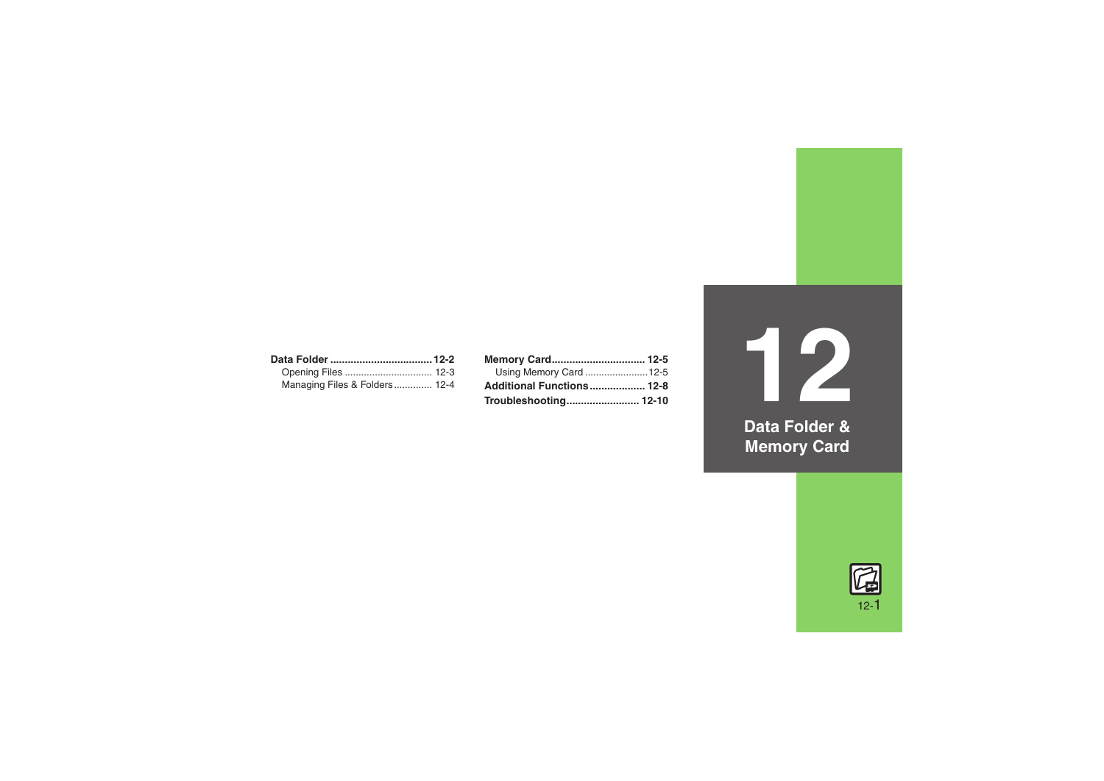| Managing Files & Folders 12-4 |  |
|-------------------------------|--|

| Memory Card 12-5          |  |
|---------------------------|--|
| Using Memory Card 12-5    |  |
| Additional Functions 12-8 |  |
|                           |  |

**12Data Folder & Memory Card**

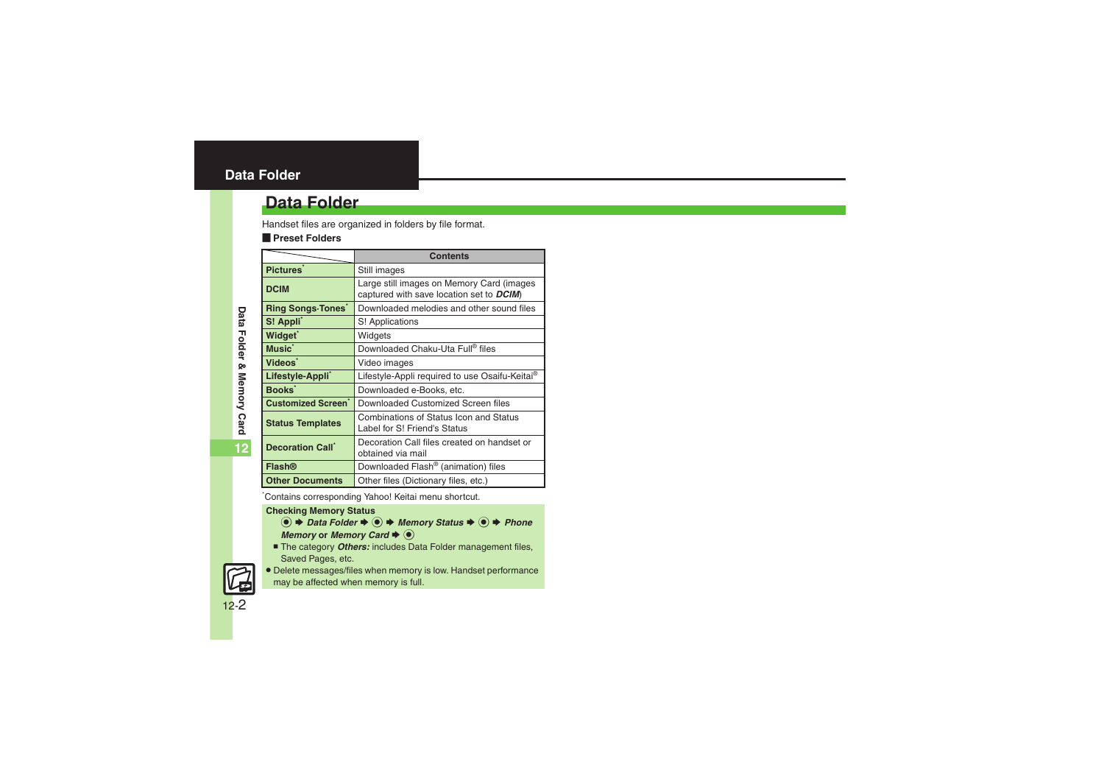### <span id="page-1-0"></span>**Data Folder**

### **Data Folder**

Handset files are organized in folders by file format.

#### [ **Preset Folders**

|                                       | <b>Contents</b>                                                                       |  |
|---------------------------------------|---------------------------------------------------------------------------------------|--|
| Pictures <sup>*</sup>                 | Still images                                                                          |  |
| <b>DCIM</b>                           | Large still images on Memory Card (images<br>captured with save location set to DCIM) |  |
| <b>Ring Songs Tones</b>               | Downloaded melodies and other sound files                                             |  |
| S! Appli                              | S! Applications                                                                       |  |
| Widget <sup>*</sup>                   | Widgets                                                                               |  |
| Music <sup>*</sup>                    | Downloaded Chaku-Uta Full® files                                                      |  |
| Videos <sup>*</sup>                   | Video images                                                                          |  |
| Lifestyle-Appli <sup>*</sup>          | Lifestyle-Appli required to use Osaifu-Keitai <sup>®</sup>                            |  |
| <b>Books</b>                          | Downloaded e-Books, etc.                                                              |  |
| <b>Customized Screen</b> <sup>*</sup> | Downloaded Customized Screen files                                                    |  |
| <b>Status Templates</b>               | Combinations of Status Icon and Status<br>Label for S! Friend's Status                |  |
| <b>Decoration Call</b>                | Decoration Call files created on handset or<br>obtained via mail                      |  |
| <b>Flash®</b>                         | Downloaded Flash <sup>®</sup> (animation) files                                       |  |
| <b>Other Documents</b>                | Other files (Dictionary files, etc.)                                                  |  |

\*Contains corresponding Yahoo! Keitai menu shortcut.

#### **Checking Memory Status**

- $\textcircled{\textcircled{\textcirc}}$   $\Rightarrow$  *Data Folder*  $\Rightarrow$   $\textcircled{\textcircled{\textcircled{\textcirc}}}$  *Memory Status*  $\Rightarrow$   $\textcircled{\textcircled{\textcirc}}$  *Phone Memory* or *Memory* Card  $\rightarrow$   $\odot$
- The category *Others:* includes Data Folder management files, Saved Pages, etc.
- . Delete messages/files when memory is low. Handset performance may be affected when memory is full.

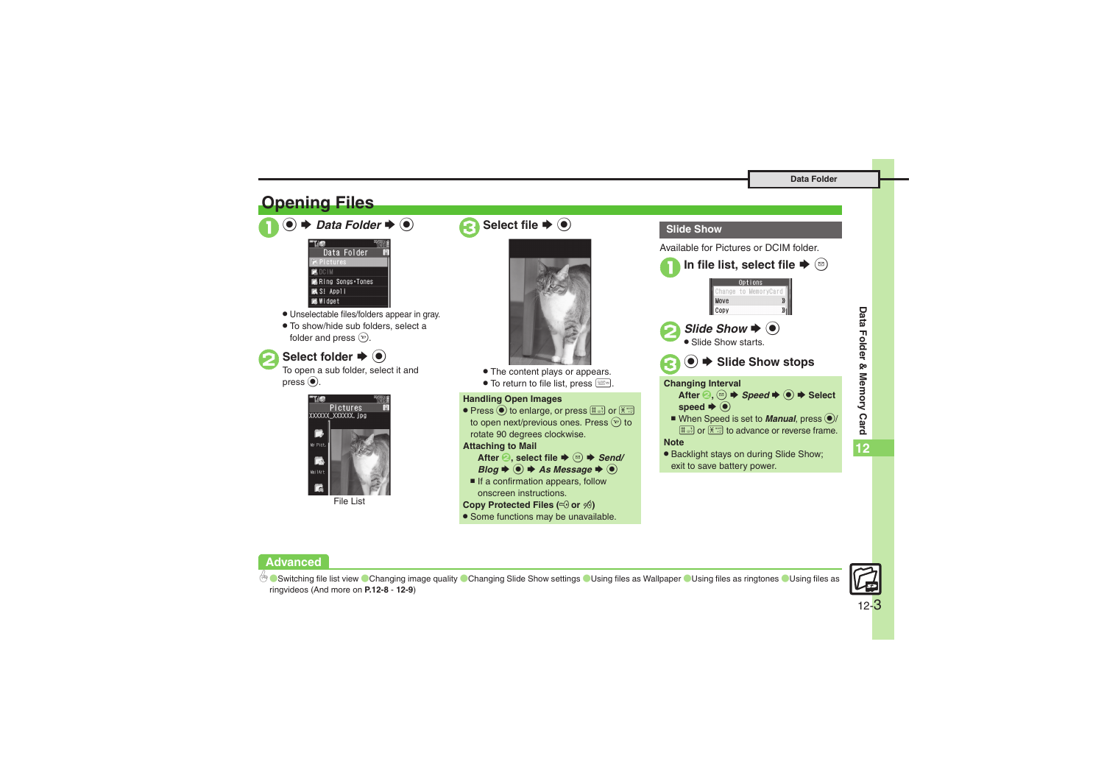<span id="page-2-0"></span>

#### **Advanced**



12-3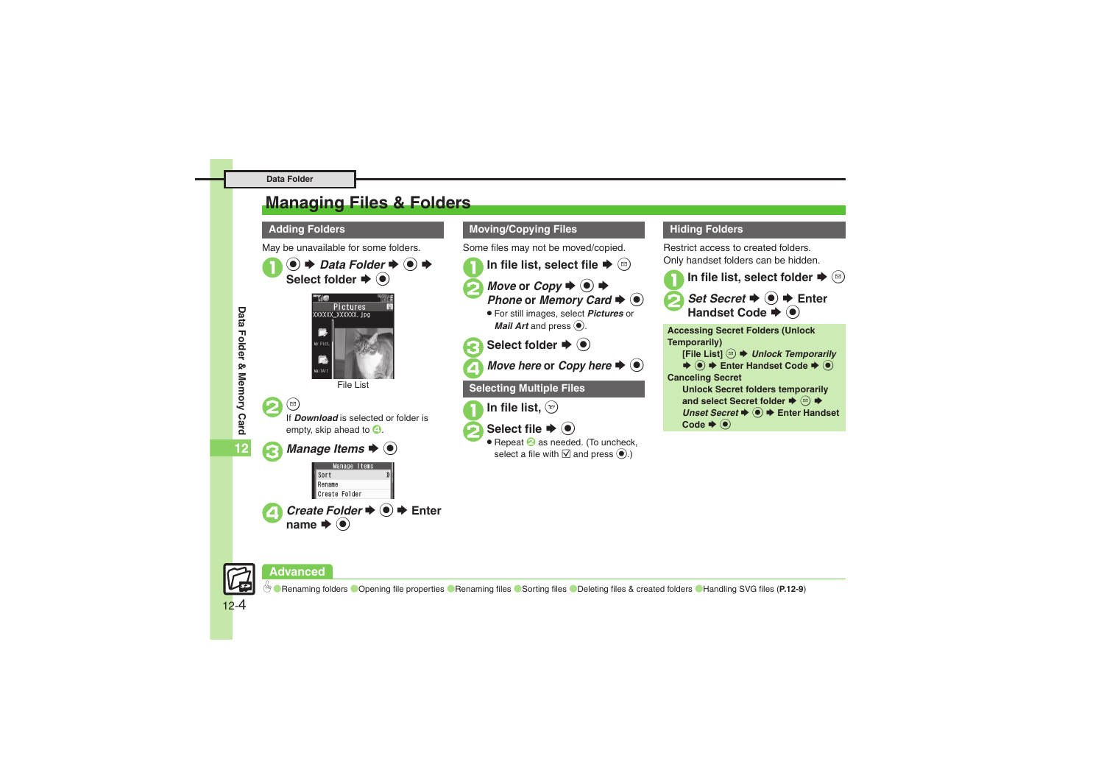### <span id="page-3-0"></span>**Managing Files & Folders**

May be unavailable for some folders.





2 <sup>B</sup>If *Download* is selected or folder is

empty, skip ahead to  $\mathbf{\Theta}$ .

*Manage Items*  $\blacklozenge$   $\odot$ 

#### **Manage Items** Sort l Rename Create Folder *Create Folder*  $\rightarrow$  ( $\bullet$ )  $\rightarrow$  Enter name  $\blacktriangleright$  ( $\blacklozenge$ )

#### **Adding Folders <b>Moving/Copying Files Moving/Copying Files**

Some files may not be moved/copied.

- In file list, select file  $\blacktriangleright$   $\stackrel{\text{{\tiny (}}\boxtimes\text{{\tiny )}}}{=}$ 
	- *Move* or *Copy*  $\blacktriangleright \odot \blacktriangleright$ <br>*Phone* or *Memory Card*  $\blacktriangleright \odot$
	- . For still images, select *Pictures* or *Mail Art* and press  $\odot$ .

**Select folder**  $\rightarrow$  $\odot$ 

*Move here* or *Copy here*  $\blacktriangleright$   $\blacklozenge$ 

### **Selecting Multiple Files**

In file list,  $\mathcal{P}$ 

**Select file**  $\rightarrow$  **(●)** 

 $\bullet$  Repeat  $\odot$  as needed. (To uncheck, select a file with  $\boxtimes$  and press  $\textcircled{\bullet}$ .)

#### **Hiding Folders**

Restrict access to created folders.Only handset folders can be hidden.



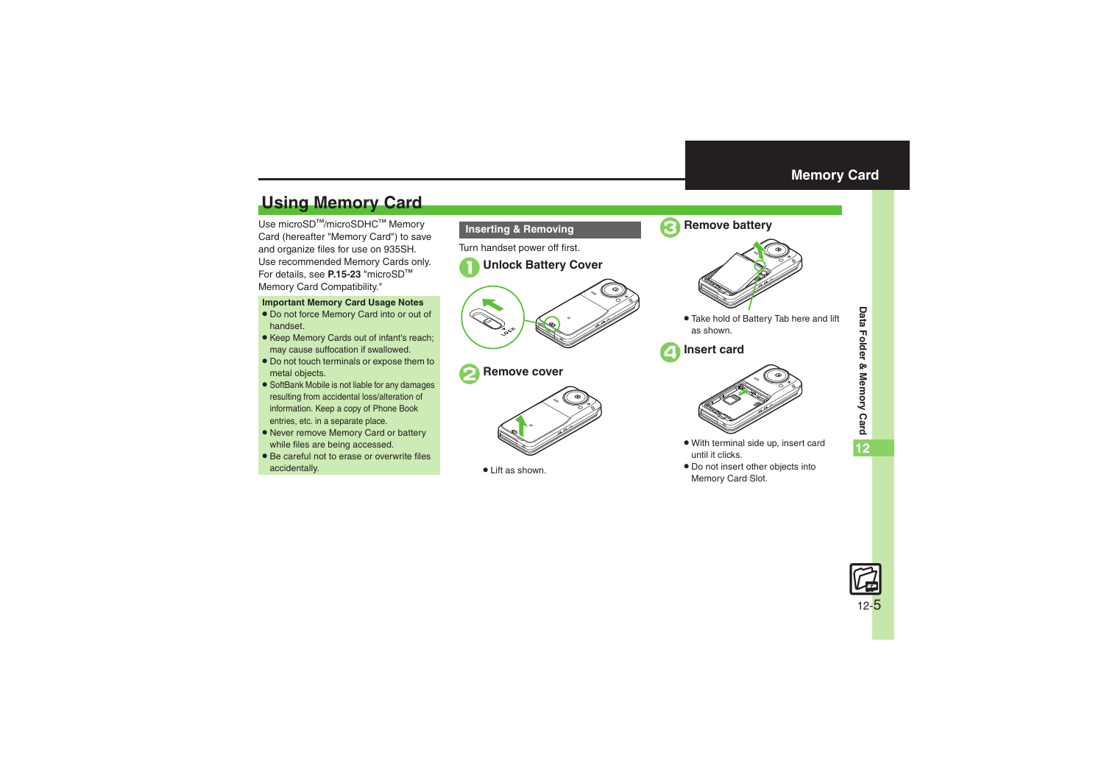## <span id="page-4-1"></span>**Using Memory Card**

Use microSD<sup>™/</sup>microSDHC™ Memory Card (hereafter "Memory Card") to save and organize files for use on 935SH. Use recommended Memory Cards only. For details, see **P.15-23** "microSD<sup>=</sup> Memory Card Compatibility."

#### **Important Memory Card Usage Notes**

- . Do not force Memory Card into or out of handset.
- Keep Memory Cards out of infant's reach; may cause suffocation if swallowed.
- . Do not touch terminals or expose them to metal objects.
- . SoftBank Mobile is not liable for any damages resulting from accidental loss/alteration of information. Keep a copy of Phone Book entries, etc. in a separate place.
- . Never remove Memory Card or battery while files are being accessed.
- . Be careful not to erase or overwrite files accidentally.



. Lift as shown.



#### <span id="page-4-0"></span>3**Remove battery**



. Take hold of Battery Tab here and lift as shown.

4**Insert card**



- . With terminal side up, insert card until it clicks.
- . Do not insert other objects into Memory Card Slot.

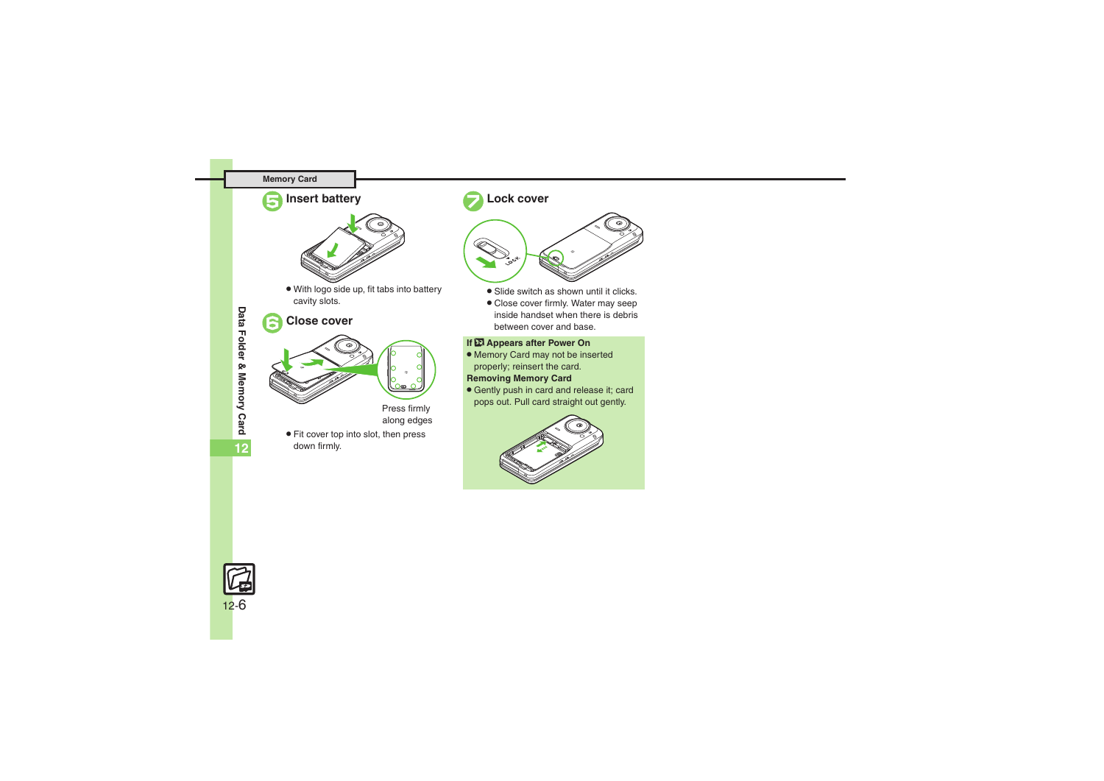#### **Memory Card**





. With logo side up, fit tabs into battery cavity slots.

### 6**Close cover**





Press firmly along edges

. Fit cover top into slot, then press down firmly.

### 7**Lock cover**



- . Slide switch as shown until it clicks.
- . Close cover firmly. Water may seep inside handset when there is debris between cover and base.

#### **If** ; **Appears after Power On**

- . Memory Card may not be inserted properly; reinsert the card. **Removing Memory Card**
- 
- **Gently push in card and release it; card** pops out. Pull card straight out gently.



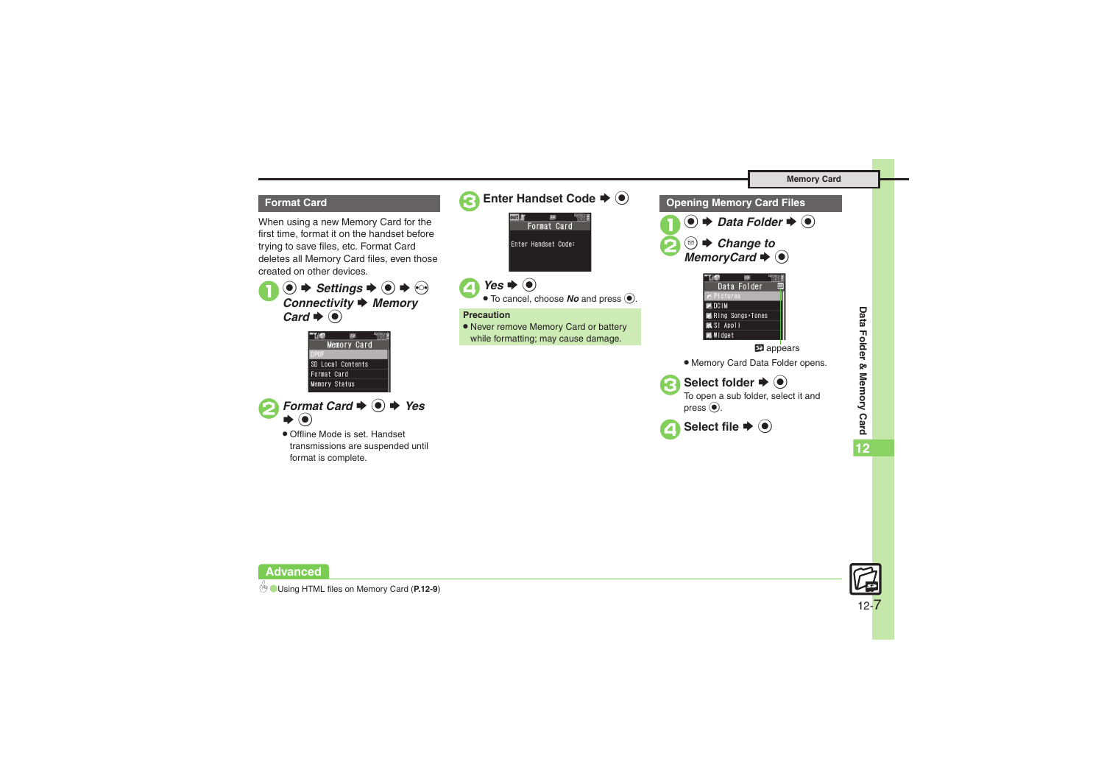

#### **Format Card**

When using a new Memory Card for the first time, format it on the handset before trying to save files, etc. Format Card deletes all Memory Card files, even those created on other devices.



|                      | Memory Card       |  |
|----------------------|-------------------|--|
| <b>IPNE</b>          |                   |  |
|                      | SD Local Contents |  |
| Format Card          |                   |  |
| <b>Memory Status</b> |                   |  |
|                      |                   |  |



. Offline Mode is set. Handset transmissions are suspended until format is complete.





0([Using HTML files on Memory Card](#page-8-7) (**[P.12-9](#page-8-7)**)

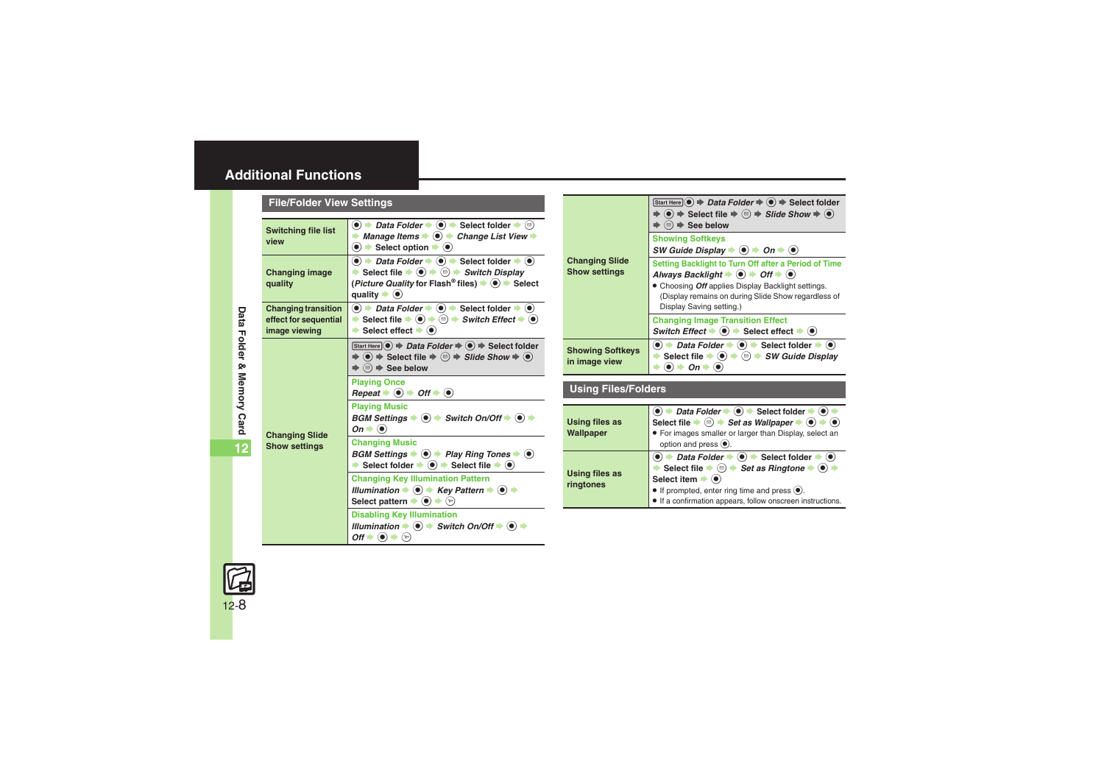### <span id="page-7-0"></span>**Additional Functions**

<span id="page-7-2"></span><span id="page-7-1"></span>

|  | <b>File/Folder View Settings</b>                                     |                                                                                                                                                                                                                                                                                                                                                                                  |                                               |
|--|----------------------------------------------------------------------|----------------------------------------------------------------------------------------------------------------------------------------------------------------------------------------------------------------------------------------------------------------------------------------------------------------------------------------------------------------------------------|-----------------------------------------------|
|  | <b>Switching file list</b><br>view                                   | $\bullet$ $\bullet$ Data Folder $\bullet$ $\bullet$ $\bullet$ Select folder $\bullet$ $\circledcirc$<br>Manage Items $\bullet$ $\bullet$ $\bullet$ Change List View $\bullet$<br>$\bullet$ $\bullet$ Select option $\bullet$ $\bullet$                                                                                                                                           |                                               |
|  | <b>Changing image</b><br>quality                                     | $\bullet$ $\rightarrow$ <i>Data Folder</i> $\rightarrow$ $\bullet$ $\rightarrow$ Select folder $\rightarrow$ $\bullet$<br>Select file $\Rightarrow$ $\circledcirc$ $\Rightarrow$ $\circledcirc$ $\Rightarrow$ Switch Display<br>( <i>Picture Quality</i> for Flash <sup>®</sup> files) $\rightarrow$ ( $\bullet$ ) $\rightarrow$ Select<br>quality $\blacktriangleright$ $\odot$ | <b>Changing Slide</b><br><b>Show settings</b> |
|  | <b>Changing transition</b><br>effect for sequential<br>image viewing | $\bullet$ $\Rightarrow$ Data Folder $\Rightarrow$ $\bullet$ $\Rightarrow$ Select folder $\Rightarrow$ $\bullet$ )<br>Select file $\bullet$ $\circledast$ $\bullet$ $\circledast$ $\bullet$ <i>Switch Effect</i> $\bullet$ $\circledast$<br>$\rightarrow$ Select effect $\rightarrow$ $\odot$                                                                                     |                                               |
|  |                                                                      | Start Here $\odot$ $\Rightarrow$ Data Folder $\Rightarrow$ $\odot$ $\Rightarrow$ Select folder<br>$\Rightarrow$ (•) $\Rightarrow$ Select file $\Rightarrow$ $\textcircled{a}$ $\Rightarrow$ Slide Show $\Rightarrow$ (•)<br>$\Rightarrow$ $\textcircled{a}$ $\Rightarrow$ See below                                                                                              | <b>Showing Softke</b><br>in image view        |
|  | <b>Changing Slide</b><br><b>Show settings</b>                        | <b>Playing Once</b><br>$Repeat \rightarrow \textcircled{\bullet} \rightarrow \textcircled{\circ} \text{ft} \rightarrow \textcircled{\bullet}$                                                                                                                                                                                                                                    | <b>Using Files/I</b>                          |
|  |                                                                      | <b>Playing Music</b><br>BGM Settings $\Rightarrow$ $\circledast$ $\Rightarrow$ Switch On/Off $\Rightarrow$ $\circledast$ $\Rightarrow$<br>On $\blacktriangleright$ $\odot$                                                                                                                                                                                                       | <b>Using files as</b><br>Wallpaper            |
|  |                                                                      | <b>Changing Music</b><br>BGM Settings $\Rightarrow$ ( $\bullet$ ) $\Rightarrow$ Play Ring Tones $\Rightarrow$ ( $\bullet$ )<br>Select folder $\rightarrow$ $\bullet$ $\rightarrow$ Select file $\rightarrow$ $\bullet$<br>÷.                                                                                                                                                     |                                               |
|  |                                                                      | <b>Changing Key Illumination Pattern</b><br>Illumination $\Rightarrow$ $\bullet$ $\Rightarrow$ Key Pattern $\Rightarrow$ $\bullet$ $\Rightarrow$<br>Select pattern $\blacktriangleright$ $\textcircled{\scriptsize{\ast}}$ $\textcircled{\scriptsize{\ast}}$                                                                                                                     | <b>Using files as</b><br>ringtones            |
|  |                                                                      | <b>Disabling Key Illumination</b><br>Illumination $\Rightarrow$ $\textcircled{\textbf{}} \Rightarrow$ Switch On/Off $\Rightarrow$ $\textcircled{\textbf{}} \Rightarrow$<br>$\mathsf{Off} \blacktriangleright \textcircled{\scriptsize{\bullet}} \blacktriangleright \textcircled{\scriptsize{\circ}}$                                                                            |                                               |

| <b>Changing Slide</b><br><b>Show settings</b> | Start Here $\odot$ $\Rightarrow$ Data Folder $\Rightarrow$ $\odot$ $\Rightarrow$ Select folder<br>$\Rightarrow$ ( $\bullet$ ) $\Rightarrow$ Select file $\Rightarrow$ $\textcircled{a}$ ) $\Rightarrow$ Slide Show $\Rightarrow$ ( $\bullet$ )<br>$\textcircled{\scriptsize{\textcircled{\#}}}$ See below |
|-----------------------------------------------|-----------------------------------------------------------------------------------------------------------------------------------------------------------------------------------------------------------------------------------------------------------------------------------------------------------|
|                                               | <b>Showing Softkeys</b><br>SW Guide Display $\Rightarrow$ $\bullet$ $\Rightarrow$ On $\Rightarrow$ $\bullet$ )                                                                                                                                                                                            |
|                                               | Setting Backlight to Turn Off after a Period of Time<br>Always Backlight $\Rightarrow$ $\bullet$ $\Rightarrow$ Off $\Rightarrow$ $\bullet$ )<br>Choosing Off applies Display Backlight settings.<br>(Display remains on during Slide Show regardless of<br>Display Saving setting.)                       |
|                                               | <b>Changing Image Transition Effect</b><br>Switch Effect $\bigstar$ ( $\bullet$ ) $\bigstar$ Select effect $\bigstar$ ( $\bullet$ )                                                                                                                                                                       |
| <b>Showing Softkeys</b><br>in image view      | $\bullet$ $\bullet$ Data Folder $\bullet$ $\bullet$ Select folder $\bullet$ $\bullet$<br>Select file $\bullet$ $\circledcirc$ $\bullet$ $\circledcirc$ $\bullet$ <i>SW Guide Display</i><br>$\left( \bullet \right)$<br>$On \Rightarrow$                                                                  |

#### **Using Files/Folders**

<span id="page-7-5"></span><span id="page-7-4"></span>

| <b>Using files as</b><br>Wallpaper | $\bullet$ $\rightarrow$ Data Folder $\rightarrow$ $\bullet$ $\rightarrow$ Select folder $\rightarrow$ $\bullet$ )<br>Select file $\bullet$ ( $\circledcirc$ ) $\bullet$ Set as Wallpaper $\bullet$ ( $\bullet$ ) $\bullet$ ( $\bullet$ )<br>• For images smaller or larger than Display, select an<br>option and press $\textcircled{\textcirc}$ .                                                              |
|------------------------------------|-----------------------------------------------------------------------------------------------------------------------------------------------------------------------------------------------------------------------------------------------------------------------------------------------------------------------------------------------------------------------------------------------------------------|
| <b>Using files as</b><br>ringtones | $\bullet$ $\bullet$ Data Folder $\bullet$ $\bullet$ $\bullet$ Select folder $\bullet$ $\bullet$<br>Select file $\Rightarrow$ $\textcircled{a}$ $\Rightarrow$ Set as Ringtone $\Rightarrow$ $\textcircled{a}$ $\Rightarrow$<br>Select item $\blacktriangleright$ ( $\blacklozenge$ )<br>$\bullet$ If prompted, enter ring time and press $\odot$ .<br>• If a confirmation appears, follow onscreen instructions. |
|                                    |                                                                                                                                                                                                                                                                                                                                                                                                                 |

<span id="page-7-3"></span>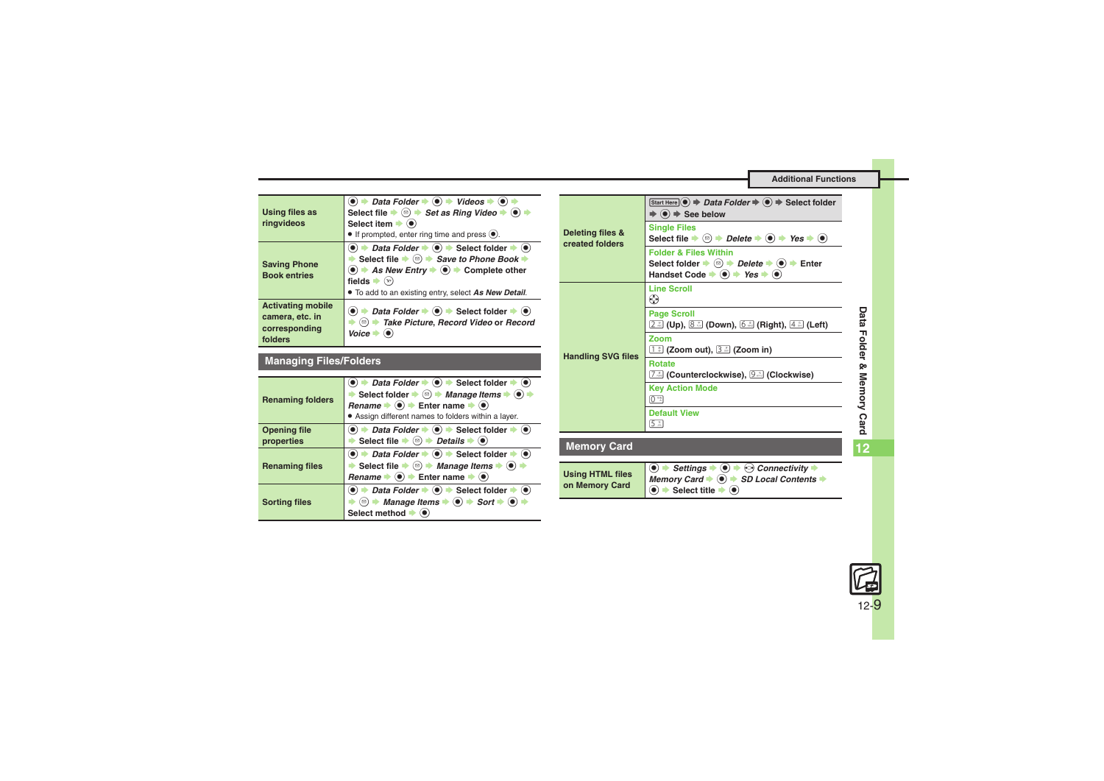**Additional Functions**

<span id="page-8-0"></span>

| <b>Using files as</b><br>ringvideos                                     | $\bullet$ $\bullet$ Data Folder $\bullet$ $\bullet$ $\bullet$ Videos $\bullet$ $\bullet$ $\bullet$<br>Select file $\Rightarrow$ $\textcircled{a}$ $\Rightarrow$ Set as Ring Video $\Rightarrow$ $\textcircled{a}$ $\Rightarrow$<br>Select item $\blacktriangleright$ ( $\blacklozenge$ )<br>$\bullet$ If prompted, enter ring time and press $\bullet$ .                                                                                                                         |
|-------------------------------------------------------------------------|----------------------------------------------------------------------------------------------------------------------------------------------------------------------------------------------------------------------------------------------------------------------------------------------------------------------------------------------------------------------------------------------------------------------------------------------------------------------------------|
| <b>Saving Phone</b><br><b>Book entries</b>                              | $\bullet$ $\rightarrow$ Data Folder $\rightarrow$ $\bullet$ $\rightarrow$ Select folder $\rightarrow$ $\bullet$<br>Select file $\bullet$ <sup><math>\textcircled{\tiny{\textcircled{\tiny{\#}}}}</math> Save to Phone Book <math>\bullet</math></sup><br>$\textcircled{\textbullet}$ $\Rightarrow$ As New Entry $\Rightarrow$ $\textcircled{\textbullet}$ $\Rightarrow$ Complete other<br>fields $\bullet$ $\mathcal{P}$<br>• To add to an existing entry, select As New Detail. |
| <b>Activating mobile</b><br>camera, etc. in<br>corresponding<br>folders | → Data Folder → $\bullet$ > Select folder → $\bullet$<br><sup>(□)</sup> Take Picture, Record Video or Record<br>Voice                                                                                                                                                                                                                                                                                                                                                            |

### **Managing Files/Folders**

<span id="page-8-4"></span><span id="page-8-3"></span><span id="page-8-2"></span><span id="page-8-1"></span>

| <b>Renaming folders</b>           | $\bullet$ $\rightarrow$ Data Folder $\rightarrow$ $\bullet$ $\rightarrow$ Select folder $\rightarrow$ $\bullet$<br>Select folder $\Rightarrow$ $\textcircled{a}$ $\Rightarrow$ <i>Manage Items</i> $\Rightarrow$ $\textcircled{a}$<br>Rename $\bullet$ $\bullet$ $\bullet$ Enter name $\bullet$ $\bullet$<br>• Assign different names to folders within a layer. |
|-----------------------------------|------------------------------------------------------------------------------------------------------------------------------------------------------------------------------------------------------------------------------------------------------------------------------------------------------------------------------------------------------------------|
| <b>Opening file</b><br>properties | $\bullet$ $\bullet$ Data Folder $\bullet$ $\bullet$ $\bullet$ Select folder $\bullet$ $\bullet$<br>Select file $\Rightarrow$ $\textcircled{a}$ $\Rightarrow$ Details $\Rightarrow$ $\textcircled{a}$                                                                                                                                                             |
| <b>Renaming files</b>             | $\bullet$ $\rightarrow$ Data Folder $\rightarrow$ $\bullet$ $\rightarrow$ Select folder $\rightarrow$ $\bullet$<br>Select file $\Rightarrow$ $\textcircled{}$ $\Rightarrow$ Manage Items $\Rightarrow$ $\textcircled{}$<br>Rename $\bullet$ $\bullet$ $\bullet$ Enter name $\bullet$ $\bullet$                                                                   |
| <b>Sorting files</b>              | $\bullet$ $\bullet$ Data Folder $\bullet$ $\bullet$ $\bullet$ Select folder $\bullet$ $\bullet$<br><b><sup>◎</sup> + Manage Items + ● + Sort + ●</b> +<br>Select method $\blacktriangleright$ $\bullet$                                                                                                                                                          |

<span id="page-8-7"></span><span id="page-8-6"></span><span id="page-8-5"></span>

| Deleting files &<br>created folders       | Start Here $\odot$ $\Rightarrow$ Data Folder $\Rightarrow$ $\odot$ $\Rightarrow$ Select folder<br>$\Rightarrow$ ( $\bullet$ ) $\Rightarrow$ See below                                                                                                              |
|-------------------------------------------|--------------------------------------------------------------------------------------------------------------------------------------------------------------------------------------------------------------------------------------------------------------------|
|                                           | <b>Single Files</b><br>Select file $\Rightarrow$ $\textcircled{e}$ $\Rightarrow$ Delete $\Rightarrow$ $\textcircled{e}$ $\Rightarrow$ Yes $\Rightarrow$ $\textcircled{e}$                                                                                          |
|                                           | <b>Folder &amp; Files Within</b><br>Select folder $\Rightarrow$ $\textcircled{e}$ $\Rightarrow$ Delete $\Rightarrow$ $\textcircled{e}$ $\Rightarrow$ Enter<br>Handset Code $\Rightarrow$ ( $\bullet$ ) $\Rightarrow$ Yes $\Rightarrow$ ( $\bullet$ )               |
| <b>Handling SVG files</b>                 | <b>Line Scroll</b><br>◈                                                                                                                                                                                                                                            |
|                                           | <b>Page Scroll</b><br><u>િં</u> (Up), 8 ૌ (Down), 6 ૌ (Right), 4 ૌ (Left)                                                                                                                                                                                          |
|                                           | Zoom<br>$\boxed{1}$ (Zoom out), $\boxed{3}$ (Zoom in)                                                                                                                                                                                                              |
|                                           | <b>Rotate</b><br>( Counterclockwise ),  [೨] (Clockwise )                                                                                                                                                                                                           |
|                                           | <b>Key Action Mode</b><br>$\boxed{0 \overset{\text{\tiny{ex}}}{\sim}}$                                                                                                                                                                                             |
|                                           | <b>Default View</b><br>5.3                                                                                                                                                                                                                                         |
| <b>Memory Card</b>                        |                                                                                                                                                                                                                                                                    |
| <b>Using HTML files</b><br>on Memory Card | Settings $\Rightarrow$ (e) $\Rightarrow$ Connectivity $\Rightarrow$<br>$\left( \bullet \right)$<br>Memory Card $\Rightarrow$ ( $\bullet$ ) $\Rightarrow$ SD Local Contents $\Rightarrow$<br>$\bullet$ $\bullet$ Select title $\bullet$<br>$\left( \bullet \right)$ |